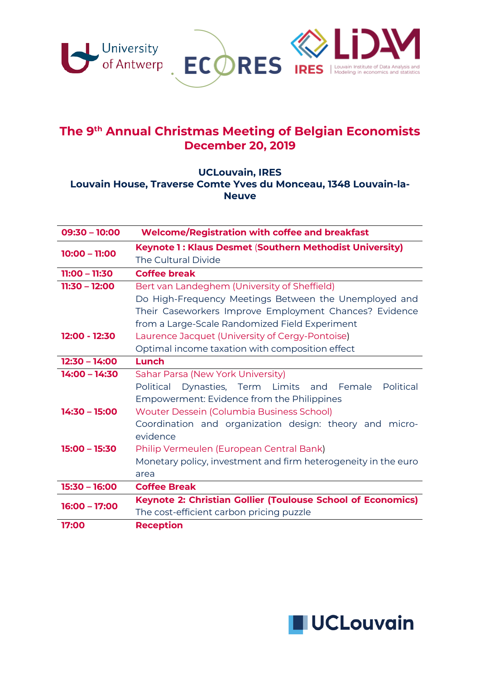

# **The 9th Annual Christmas Meeting of Belgian Economists December 20, 2019**

#### **UCLouvain, IRES Louvain House, Traverse Comte Yves du Monceau, 1348 Louvain-la-Neuve**

| $09:30 - 10:00$ | <b>Welcome/Registration with coffee and breakfast</b>                                                                                                                                                             |
|-----------------|-------------------------------------------------------------------------------------------------------------------------------------------------------------------------------------------------------------------|
| $10:00 - 11:00$ | Keynote 1: Klaus Desmet (Southern Methodist University)<br>The Cultural Divide                                                                                                                                    |
| $11:00 - 11:30$ | <b>Coffee break</b>                                                                                                                                                                                               |
| $11:30 - 12:00$ | Bert van Landeghem (University of Sheffield)<br>Do High-Frequency Meetings Between the Unemployed and<br>Their Caseworkers Improve Employment Chances? Evidence<br>from a Large-Scale Randomized Field Experiment |
| 12:00 - 12:30   | Laurence Jacquet (University of Cergy-Pontoise)<br>Optimal income taxation with composition effect                                                                                                                |
| $12:30 - 14:00$ | Lunch                                                                                                                                                                                                             |
| $14:00 - 14:30$ | Sahar Parsa (New York University)<br>Political<br>Political<br>Dynasties, Term Limits and Female<br>Empowerment: Evidence from the Philippines                                                                    |
| $14:30 - 15:00$ | Wouter Dessein (Columbia Business School)<br>Coordination and organization design: theory and micro-<br>evidence                                                                                                  |
| $15:00 - 15:30$ | Philip Vermeulen (European Central Bank)<br>Monetary policy, investment and firm heterogeneity in the euro<br>area                                                                                                |
| $15:30 - 16:00$ | <b>Coffee Break</b>                                                                                                                                                                                               |
| $16:00 - 17:00$ | <b>Keynote 2: Christian Gollier (Toulouse School of Economics)</b><br>The cost-efficient carbon pricing puzzle                                                                                                    |
| 17:00           | <b>Reception</b>                                                                                                                                                                                                  |